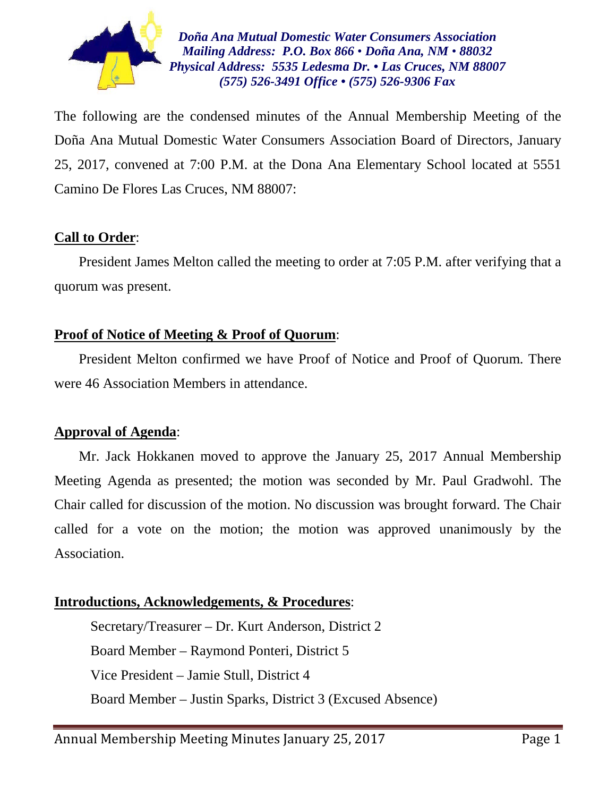

*Doña Ana Mutual Domestic Water Consumers Association Mailing Address: P.O. Box 866 • Doña Ana, NM • 88032 Physical Address: 5535 Ledesma Dr. • Las Cruces, NM 88007 (575) 526-3491 Office • (575) 526-9306 Fax*

The following are the condensed minutes of the Annual Membership Meeting of the Doña Ana Mutual Domestic Water Consumers Association Board of Directors, January 25, 2017, convened at 7:00 P.M. at the Dona Ana Elementary School located at 5551 Camino De Flores Las Cruces, NM 88007:

## **Call to Order**:

 President James Melton called the meeting to order at 7:05 P.M. after verifying that a quorum was present.

## **Proof of Notice of Meeting & Proof of Quorum**:

 President Melton confirmed we have Proof of Notice and Proof of Quorum. There were 46 Association Members in attendance.

## **Approval of Agenda**:

 Mr. Jack Hokkanen moved to approve the January 25, 2017 Annual Membership Meeting Agenda as presented; the motion was seconded by Mr. Paul Gradwohl. The Chair called for discussion of the motion. No discussion was brought forward. The Chair called for a vote on the motion; the motion was approved unanimously by the Association.

## **Introductions, Acknowledgements, & Procedures**:

Secretary/Treasurer – Dr. Kurt Anderson, District 2 Board Member – Raymond Ponteri, District 5 Vice President – Jamie Stull, District 4 Board Member – Justin Sparks, District 3 (Excused Absence)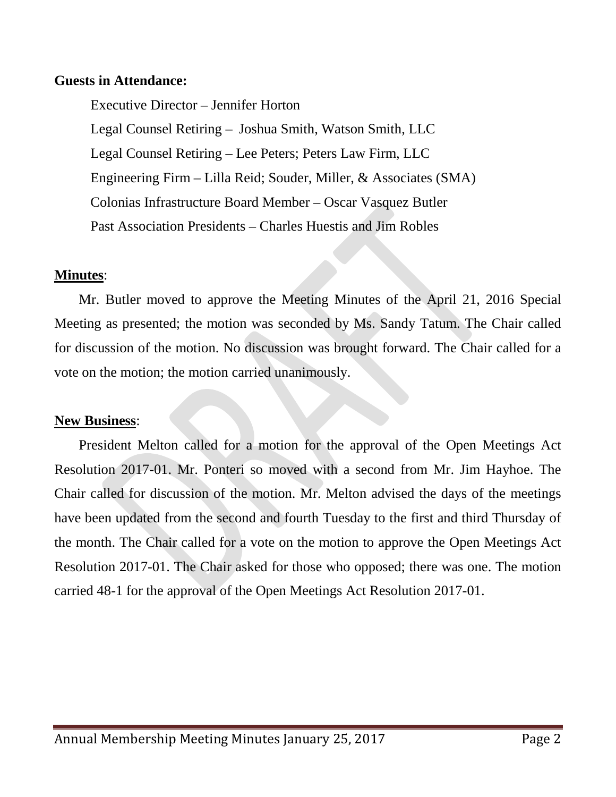### **Guests in Attendance:**

Executive Director – Jennifer Horton Legal Counsel Retiring – Joshua Smith, Watson Smith, LLC Legal Counsel Retiring – Lee Peters; Peters Law Firm, LLC Engineering Firm – Lilla Reid; Souder, Miller, & Associates (SMA) Colonias Infrastructure Board Member – Oscar Vasquez Butler Past Association Presidents – Charles Huestis and Jim Robles

#### **Minutes**:

 Mr. Butler moved to approve the Meeting Minutes of the April 21, 2016 Special Meeting as presented; the motion was seconded by Ms. Sandy Tatum. The Chair called for discussion of the motion. No discussion was brought forward. The Chair called for a vote on the motion; the motion carried unanimously.

#### **New Business**:

 President Melton called for a motion for the approval of the Open Meetings Act Resolution 2017-01. Mr. Ponteri so moved with a second from Mr. Jim Hayhoe. The Chair called for discussion of the motion. Mr. Melton advised the days of the meetings have been updated from the second and fourth Tuesday to the first and third Thursday of the month. The Chair called for a vote on the motion to approve the Open Meetings Act Resolution 2017-01. The Chair asked for those who opposed; there was one. The motion carried 48-1 for the approval of the Open Meetings Act Resolution 2017-01.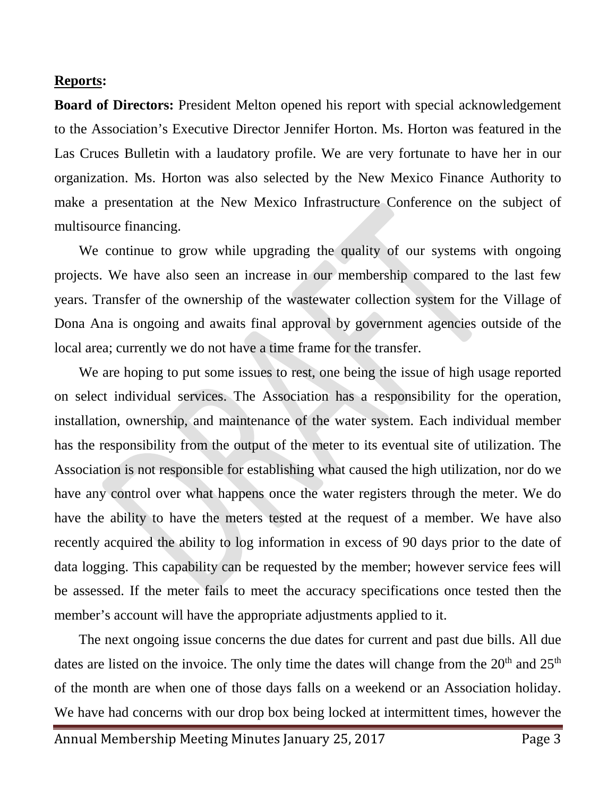#### **Reports:**

**Board of Directors:** President Melton opened his report with special acknowledgement to the Association's Executive Director Jennifer Horton. Ms. Horton was featured in the Las Cruces Bulletin with a laudatory profile. We are very fortunate to have her in our organization. Ms. Horton was also selected by the New Mexico Finance Authority to make a presentation at the New Mexico Infrastructure Conference on the subject of multisource financing.

We continue to grow while upgrading the quality of our systems with ongoing projects. We have also seen an increase in our membership compared to the last few years. Transfer of the ownership of the wastewater collection system for the Village of Dona Ana is ongoing and awaits final approval by government agencies outside of the local area; currently we do not have a time frame for the transfer.

 We are hoping to put some issues to rest, one being the issue of high usage reported on select individual services. The Association has a responsibility for the operation, installation, ownership, and maintenance of the water system. Each individual member has the responsibility from the output of the meter to its eventual site of utilization. The Association is not responsible for establishing what caused the high utilization, nor do we have any control over what happens once the water registers through the meter. We do have the ability to have the meters tested at the request of a member. We have also recently acquired the ability to log information in excess of 90 days prior to the date of data logging. This capability can be requested by the member; however service fees will be assessed. If the meter fails to meet the accuracy specifications once tested then the member's account will have the appropriate adjustments applied to it.

 The next ongoing issue concerns the due dates for current and past due bills. All due dates are listed on the invoice. The only time the dates will change from the  $20<sup>th</sup>$  and  $25<sup>th</sup>$ of the month are when one of those days falls on a weekend or an Association holiday. We have had concerns with our drop box being locked at intermittent times, however the

Annual Membership Meeting Minutes January 25, 2017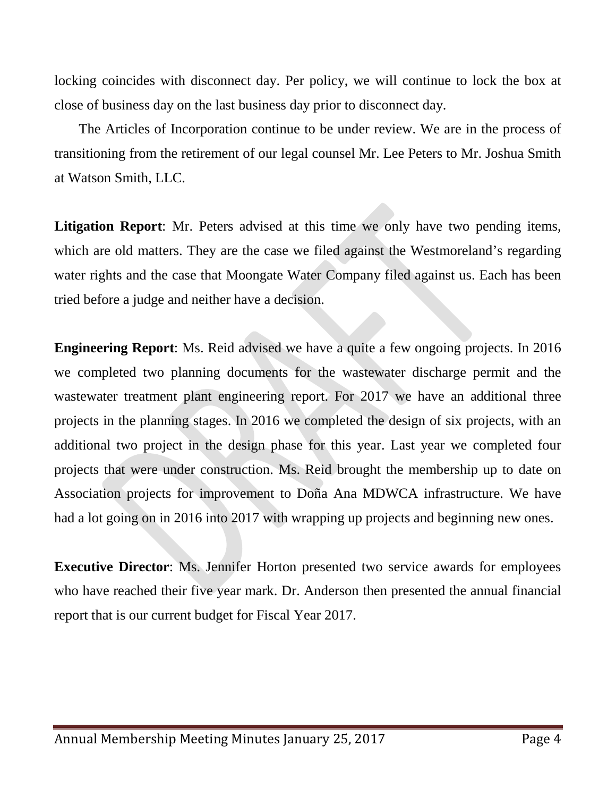locking coincides with disconnect day. Per policy, we will continue to lock the box at close of business day on the last business day prior to disconnect day.

 The Articles of Incorporation continue to be under review. We are in the process of transitioning from the retirement of our legal counsel Mr. Lee Peters to Mr. Joshua Smith at Watson Smith, LLC.

**Litigation Report**: Mr. Peters advised at this time we only have two pending items, which are old matters. They are the case we filed against the Westmoreland's regarding water rights and the case that Moongate Water Company filed against us. Each has been tried before a judge and neither have a decision.

**Engineering Report**: Ms. Reid advised we have a quite a few ongoing projects. In 2016 we completed two planning documents for the wastewater discharge permit and the wastewater treatment plant engineering report. For 2017 we have an additional three projects in the planning stages. In 2016 we completed the design of six projects, with an additional two project in the design phase for this year. Last year we completed four projects that were under construction. Ms. Reid brought the membership up to date on Association projects for improvement to Doña Ana MDWCA infrastructure. We have had a lot going on in 2016 into 2017 with wrapping up projects and beginning new ones.

**Executive Director**: Ms. Jennifer Horton presented two service awards for employees who have reached their five year mark. Dr. Anderson then presented the annual financial report that is our current budget for Fiscal Year 2017.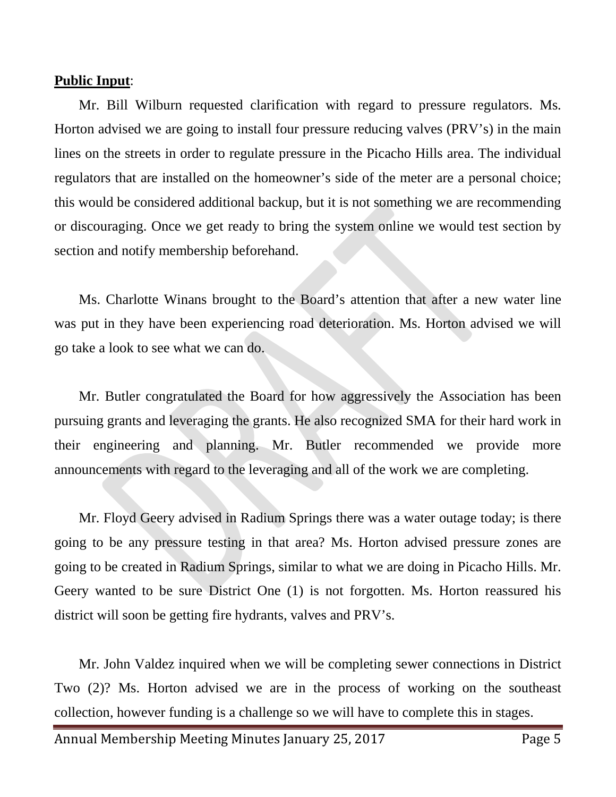#### **Public Input**:

 Mr. Bill Wilburn requested clarification with regard to pressure regulators. Ms. Horton advised we are going to install four pressure reducing valves (PRV's) in the main lines on the streets in order to regulate pressure in the Picacho Hills area. The individual regulators that are installed on the homeowner's side of the meter are a personal choice; this would be considered additional backup, but it is not something we are recommending or discouraging. Once we get ready to bring the system online we would test section by section and notify membership beforehand.

 Ms. Charlotte Winans brought to the Board's attention that after a new water line was put in they have been experiencing road deterioration. Ms. Horton advised we will go take a look to see what we can do.

 Mr. Butler congratulated the Board for how aggressively the Association has been pursuing grants and leveraging the grants. He also recognized SMA for their hard work in their engineering and planning. Mr. Butler recommended we provide more announcements with regard to the leveraging and all of the work we are completing.

 Mr. Floyd Geery advised in Radium Springs there was a water outage today; is there going to be any pressure testing in that area? Ms. Horton advised pressure zones are going to be created in Radium Springs, similar to what we are doing in Picacho Hills. Mr. Geery wanted to be sure District One (1) is not forgotten. Ms. Horton reassured his district will soon be getting fire hydrants, valves and PRV's.

 Mr. John Valdez inquired when we will be completing sewer connections in District Two (2)? Ms. Horton advised we are in the process of working on the southeast collection, however funding is a challenge so we will have to complete this in stages.

Annual Membership Meeting Minutes January 25, 2017 Page 5